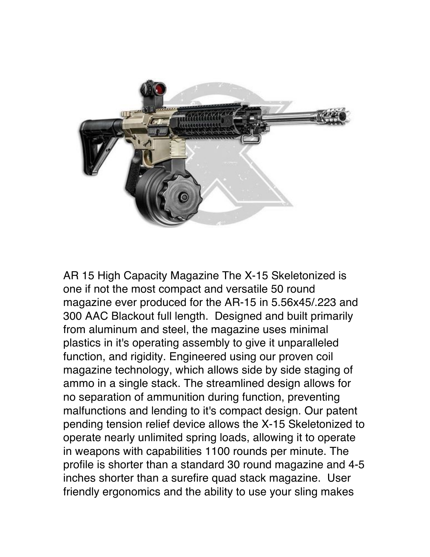

AR 15 High Capacity Magazine The X-15 Skeletonized is one if not the most compact and versatile 50 round magazine ever produced for the AR-15 in 5.56x45/.223 and 300 AAC Blackout full length. Designed and built primarily from aluminum and steel, the magazine uses minimal plastics in it's operating assembly to give it unparalleled function, and rigidity. Engineered using our proven coil magazine technology, which allows side by side staging of ammo in a single stack. The streamlined design allows for no separation of ammunition during function, preventing malfunctions and lending to it's compact design. Our patent pending tension relief device allows the X-15 Skeletonized to operate nearly unlimited spring loads, allowing it to operate in weapons with capabilities 1100 rounds per minute. The profile is shorter than a standard 30 round magazine and 4-5 inches shorter than a surefire quad stack magazine. User friendly ergonomics and the ability to use your sling makes